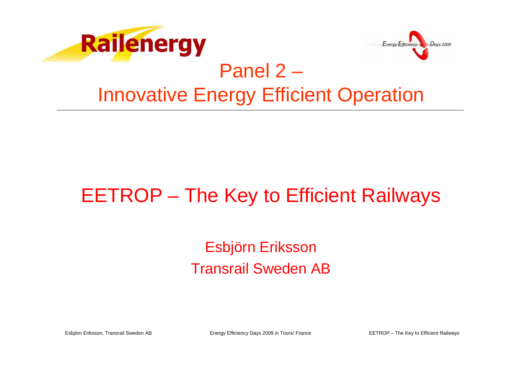



#### Panel 2 –Innovative Energy Efficient Operation

#### EETROP – The Key to Efficient Railways

#### Esbjörn ErikssonTransrail Sweden AB

Esbjörn Eriksson, Transrail Sweden AB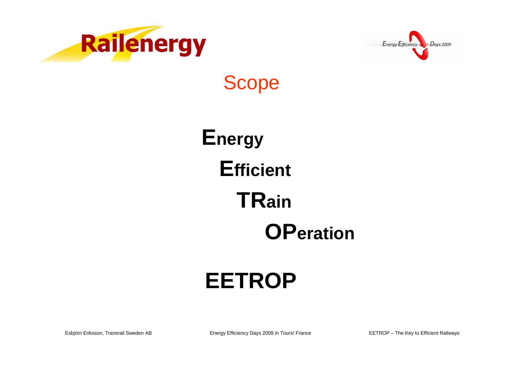



### **Scope**

**Energy Efficient TRain OPeration** 

# **EETROP**

Esbjörn Eriksson, Transrail Sweden AB

Energy Efficiency Days 2009 in Tours/ France

EETROP - The Key to Efficient Railways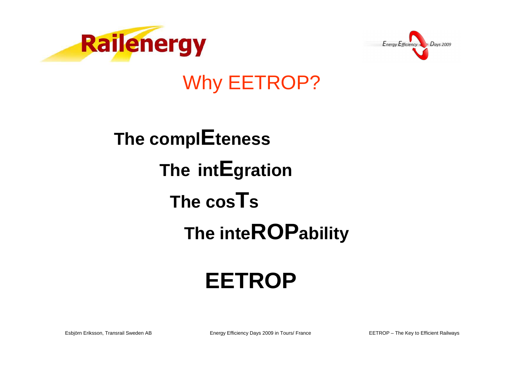



#### **Why EETROP?**

# The complEteness The intEgration The cos<sup>T</sup>s The inteROPability

# **EETROP**

Esbjörn Eriksson, Transrail Sweden AB

Energy Efficiency Days 2009 in Tours/ France

EETROP - The Key to Efficient Railways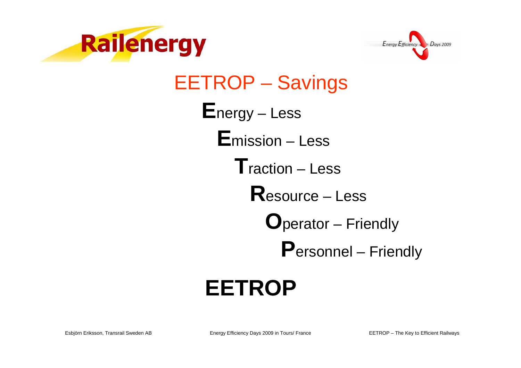



**EETROP - Savings**  $E$ nergy – Less **E**mission – Less  $\mathsf{T}$ raction – Less  $\mathbf R$  esource – Less **O**perator – Friendly **Personnel** – Friendly

## **EETROP**

Energy Efficiency Days 2009 in Tours/ France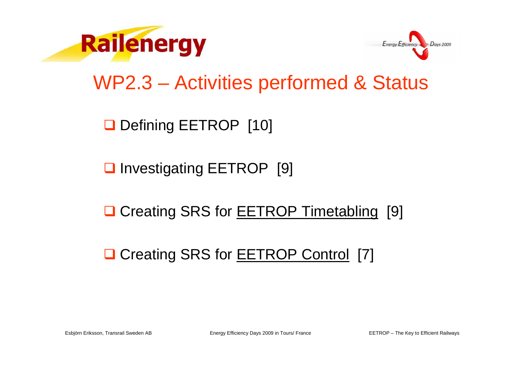



#### WP2.3 – Activities performed & Status

Defining EETROP [10]

□ Investigating EETROP [9]

**Q Creating SRS for EETROP Timetabling [9]** 

□ Creating SRS for **EETROP Control** [7]

Esbjörn Eriksson, Transrail Sweden AB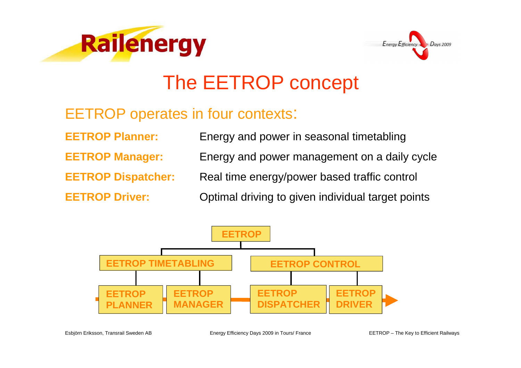



#### The EETROP concept

#### EETROP operates in four contexts:

**EETROP Planner:** Energy and power in seasonal timetabling**EETROP Manager:** Energy and power management on a daily cycle**EETROP Dispatcher:** Real time energy/power based traffic control **EETROP Driver:**Optimal driving to given individual target points

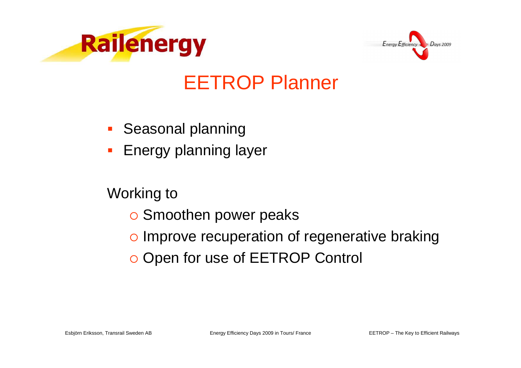



#### EETROP Planner

- -Seasonal planning
- Energy planning layer

- o Smoothen power peaks
- o Improve recuperation of regenerative braking
- o Open for use of EETROP Control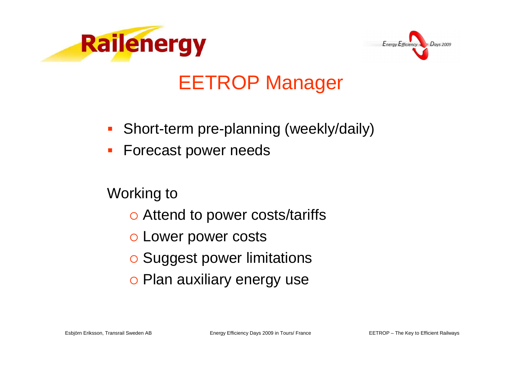



### EETROP Manager

- -Short-term pre-planning (weekly/daily)
- -Forecast power needs

- o Attend to power costs/tariffs
- o Lower power costs
- o Suggest power limitations
- o Plan auxiliary energy use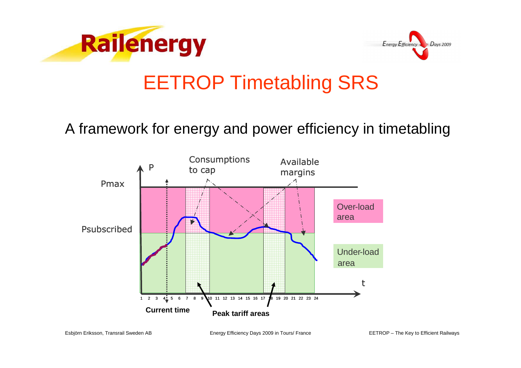



### EETROP Timetabling SRS

#### A framework for energy and power efficiency in timetabling

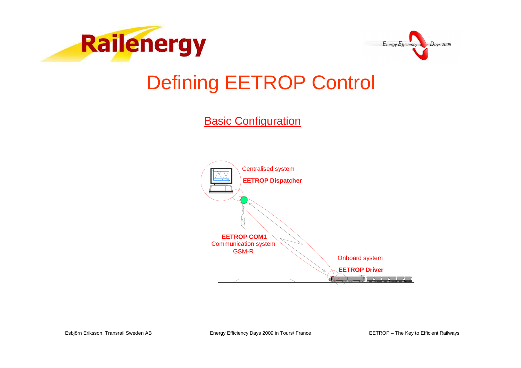



### Defining EETROP Control

**Basic Configuration** 



Esbjörn Eriksson, Transrail Sweden AB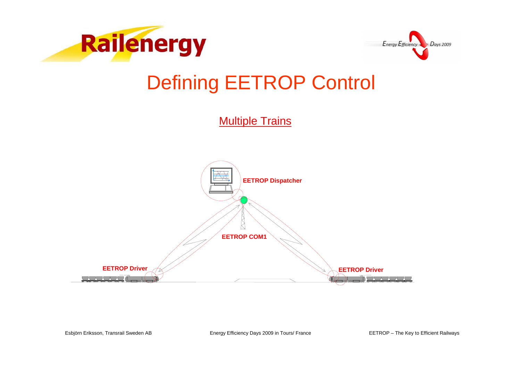



### Defining EETROP Control

**Multiple Trains** 

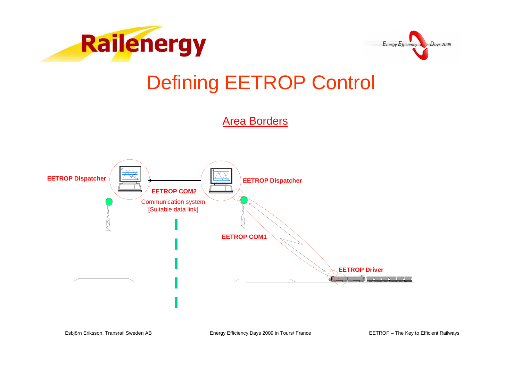



### Defining EETROP Control

Area Borders

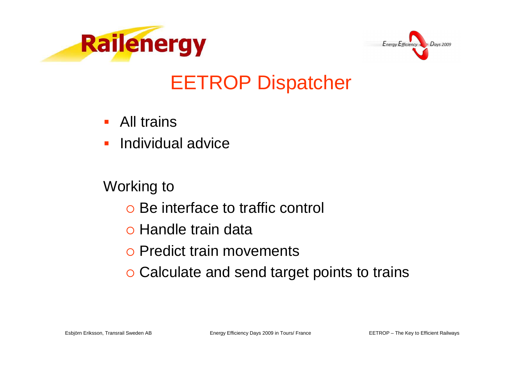



### EETROP Dispatcher

- All trains
- -Individual advice

- o Be interface to traffic control
- o Handle train data
- o Predict train movements
- o Calculate and send target points to trains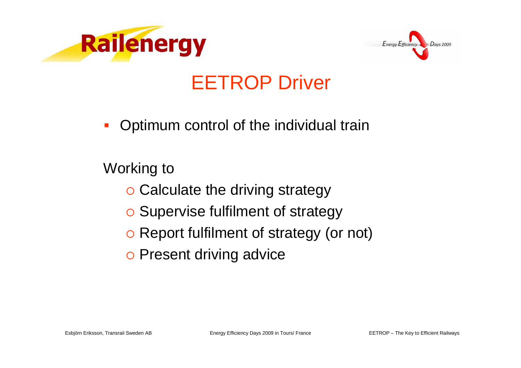



#### EETROP Driver

**-** Optimum control of the individual train

- o Calculate the driving strategy
- o Supervise fulfilment of strategy
- o Report fulfilment of strategy (or not)
- o Present driving advice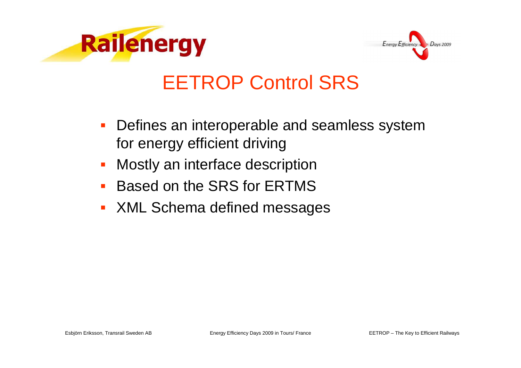



#### EETROP Control SRS

- - Defines an interoperable and seamless system for energy efficient driving
- -Mostly an interface description
- -Based on the SRS for ERTMS
- **XML Schema defined messages** -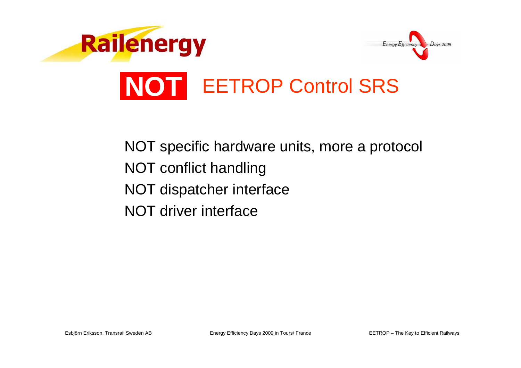

#### NOT specific hardware units, more a protocolNOT conflict handlingNOT dispatcher interfaceNOT driver interface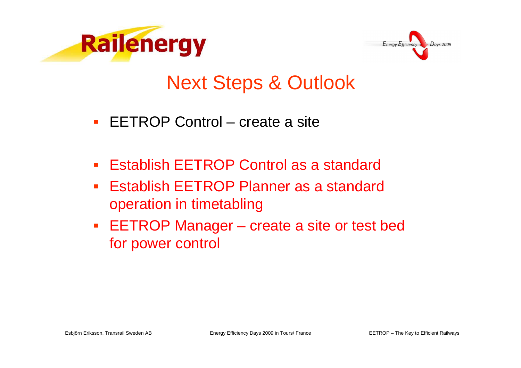



### Next Steps & Outlook

- -EETROP Control – create a site
- -Establish EETROP Control as a standard
- - Establish EETROP Planner as a standard operation in timetabling
- EETROP Manager create a site or test bed for power control